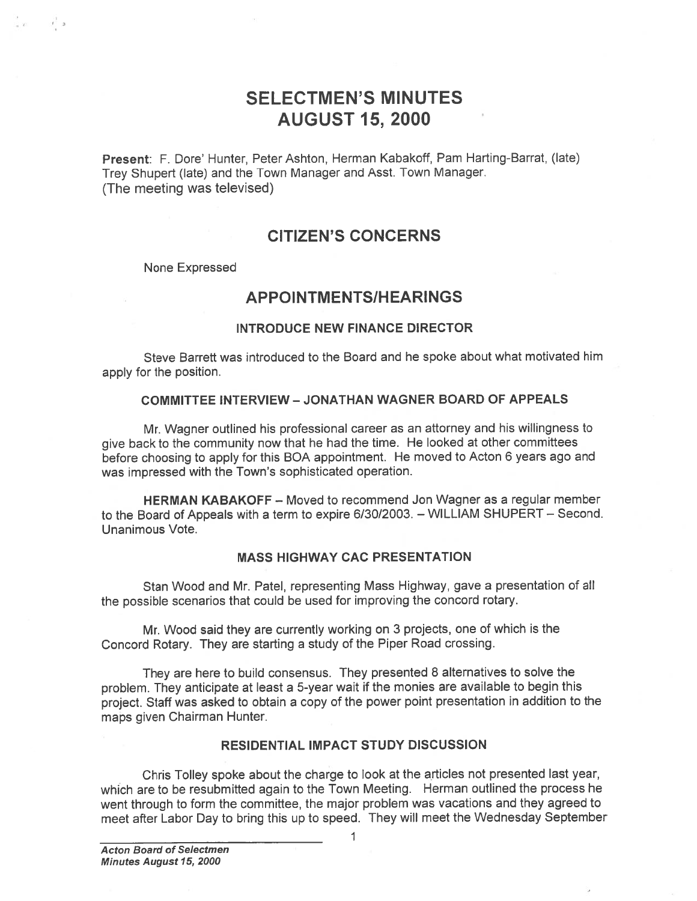# SELECTMEN'S MINUTES AUGUST 15, 2000

Present: F. Dore' Hunter, Peter Ashton, Herman Kabakoff, Pam Harting-Barrat, (late) Trey Shupert (late) and the Town Manager and Asst. Town Manager. (The meeting was televised)

## CITIZEN'S CONCERNS

None Expressed

 $\frac{1}{2}$   $\frac{1}{2}$ 

## APPOINTMENTS/HEARINGS

### INTRODUCE NEW FINANCE DIRECTOR

Steve Barrett was introduced to the Board and he spoke about what motivated him apply for the position.

### COMMITTEE INTERVIEW -JONATHAN WAGNER BOARD OF APPEALS

Mr. Wagner outlined his professional career as an attorney and his willingness to <sup>g</sup>ive back to the community now that he had the time. He looked at other committees before choosing to apply for this BOA appointment. He moved to Acton <sup>6</sup> years ago and was impressed with the Town's sophisticated operation.

HERMAN KABAKOFF — Moved to recommend Jon Wagner as <sup>a</sup> regular member to the Board of Appeals with <sup>a</sup> term to expire 6/30/2003. — WILLIAM SHUPERT — Second. Unanimous Vote.

### MASS HIGHWAY CAC PRESENTATION

Stan Wood and Mr. Patel, representing Mass Highway, gave <sup>a</sup> presentation of all the possible scenarios that could be used for improving the concord rotary.

Mr. Wood said they are currently working on 3 projects, one of which is the Concord Rotary. They are starting <sup>a</sup> study of the Piper Road crossing.

They are here to build consensus. They presented <sup>8</sup> alternatives to solve the problem. They anticipate at least <sup>a</sup> 5-year wait if the monies are available to begin this project. Staff was asked to obtain <sup>a</sup> copy of the power point presentation in addition to the maps given Chairman Hunter.

### RESIDENTIAL IMPACT STUDY DISCUSSION

Chris Tolley spoke about the charge to look at the articles not presented last year, which are to be resubmitted again to the Town Meeting. Herman outlined the process he went through to form the committee, the major problem was vacations and they agreed to<br>meet after Labor Day to bring this up to speed. They will meet the Wednesday September SELECTMEN'S MINUTES<br>
AUGUST 15, 2000<br>
Trey Shupert (tate) and the Town Manager and Asst Town Manager.<br>
(The meeting vas televisions)<br>
CITIZEN'S CONCERNS<br>
None Expressed<br>
APPOINTMENTS/HEARINGS<br>
INTRODUCE NEW FINANCE DIRECTO

1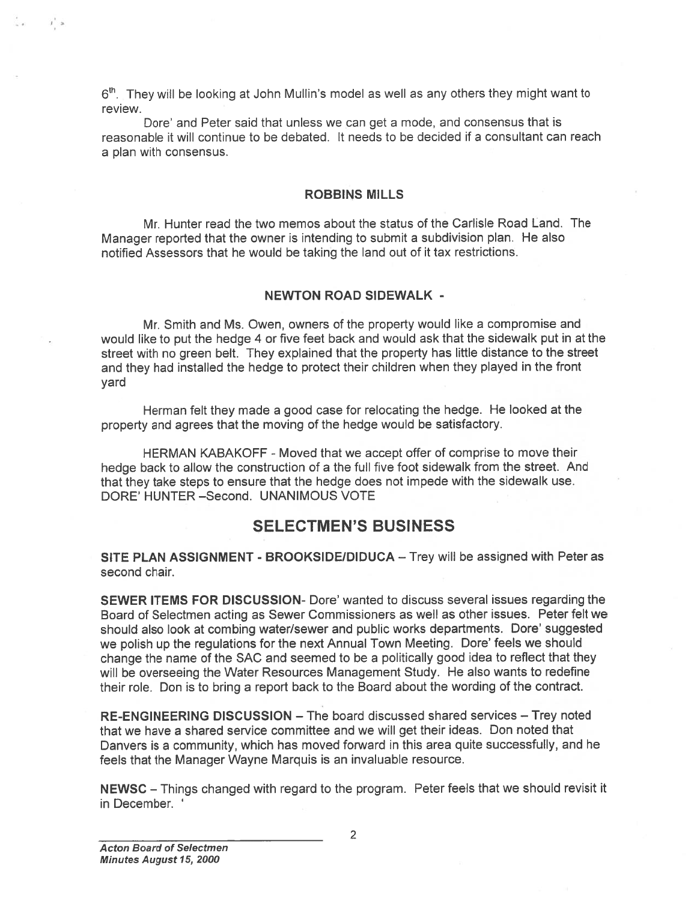6<sup>th</sup>. They will be looking at John Mullin's model as well as any others they might want to review.

Dore' and Peter said that unless we can ge<sup>t</sup> <sup>a</sup> mode, and consensus that is reasonable it will continue to be debated. It needs to be decided if <sup>a</sup> consultant can reach <sup>a</sup> plan with consensus.

### ROBBINS MILLS

Mr. Hunter read the two memos about the status of the Carlisle Road Land. The Manager reported that the owner is intending to submit <sup>a</sup> subdivision <sup>p</sup>lan. He also notified Assessors that he would be taking the land out of it tax restrictions.

### NEWTON ROAD SIDEWALK -

Mr. Smith and Ms. Owen, owners of the property would like <sup>a</sup> compromise and would like to pu<sup>t</sup> the hedge <sup>4</sup> or five feet back and would ask that the sidewalk pu<sup>t</sup> in at the street with no green belt. They explained that the property has little distance to the street and they had installed the hedge to protect their children when they <sup>p</sup>layed in the front yard

Herman felt they made <sup>a</sup> good case for relocating the hedge. He looked at the property and agrees that the moving of the hedge would be satisfactory.

HERMAN KABAKOFF -Moved that we accep<sup>t</sup> offer of comprise to move their hedge back to allow the construction of <sup>a</sup> the full five foot sidewalk from the street. And that they take steps to ensure that the hedge does not impede with the sidewalk use. DORE' HUNTER -Second. UNANIMOUS VOTE

## SELECTMEN'S BUSINESS

SITE PLAN ASSIGNMENT - BROOKSIDE/DIDUCA - Trey will be assigned with Peter as second chair.

SEWER ITEMS FOR DISCUSSION- Dore' wanted to discuss several issues regarding the Board of Selectmen acting as Sewer Commissioners as well as other issues. Peter felt we should also look at combing water/sewer and public works departments. Dore' suggested we polish up the regulations for the next Annual Town Meeting. Dore' feels we should change the name of the SAC and seemed to be <sup>a</sup> politically good idea to reflect that they will be overseeing the Water Resources Management Study. He also wants to redefine their role. Don is to bring <sup>a</sup> repor<sup>t</sup> back to the Board about the wording of the contract.  $\mathbf{S}^{\text{th}}$ . They will be looking at John Mullin's<br>
review.<br>
Dore' and Peter said that unless<br>
reasonable it will continue to be debate<br>
a plan with consensus.<br>
RO<br>
Mr. Hunter read the two memos<br>
Manager reported that

RE-ENGINEERING DISCUSSION — The board discussed shared services — Trey noted that we have <sup>a</sup> shared service committee and we will ge<sup>t</sup> their ideas. Don noted that Danvers is <sup>a</sup> community, which has moved forward in this area quite successfully, and he feels that the Manager Wayne Marquis is an invaluable resource.

NEWSC — Things changed with regard to the program. Peter feels that we should revisit it

 $I^*$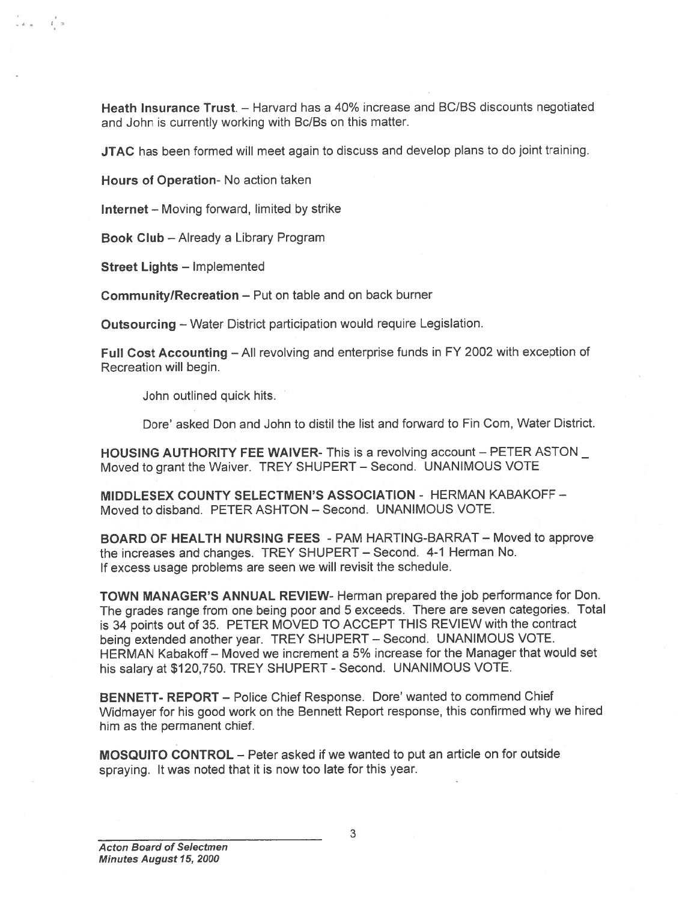Heath Insurance Trust. - Harvard has a 40% increase and BC/BS discounts negotiated and John is currently working with Bc/Bs on this matter.

JTAC has been formed will meet again to discuss and develop plans to do joint training.

Hours of Operation- No action taken

Internet — Moving forward, limited by strike

Book Club — Already <sup>a</sup> Library Program

Street Lights — Implemented

்க ட்ச

Community!Recreation — Put on table and on back burner

Outsourcing — Water District participation would require Legislation.

Full Cost Accounting — All revolving and enterprise funds in FY <sup>2002</sup> with exception of Recreation will begin.

John outlined quick hits.

Dote' asked Don and John to distil the list and forward to Fin Com, Water District.

HOUSING AUTHORITY FEE WAIVER- This is a revolving account – PETER ASTON Moved to gran<sup>t</sup> the Waiver. TREY SHUPERT — Second. UNANIMOUS VOTE

MIDDLESEX COUNTY SELECTMEN'S ASSOCIATION - HERMAN KABAKOFF — Moved to disband. PETER ASHTON — Second. UNANIMOUS VOTE.

BOARD OF HEALTH NURSING FEES - PAM HARTING-BARRAT — Moved to approve the increases and changes. TREY SHUPERT — Second. 4-1 Herman No. If excess usage problems are seen we will revisit the schedule.

TOWN MANAGER'S ANNUAL REVIEW- Herman prepared the job performance for Don. The grades range from one being poor and <sup>5</sup> exceeds. There are seven categories. Total is <sup>34</sup> points out of 35. PETER MOVED TO ACCEPT THIS REVIEW with the contract being extended another year. TREY SHUPERT — Second. UNANIMOUS VOTE. HERMAN Kabakoff — Moved we increment <sup>a</sup> 5% increase for the Manager that would set his salary at \$120,750. TREY SHUPERT - Second. UNANIMOUS VOTE.

BENNETT- REPORT - Police Chief Response. Dore' wanted to commend Chief Widmayer for his goo<sup>d</sup> work on the Bennett Report response, this confirmed why we hired him as the permanen<sup>t</sup> chief.

MOSQUITO CONTROL — Peter asked if we wanted to pu<sup>t</sup> an article on for outside spraying. It was noted that it is now too late for this year.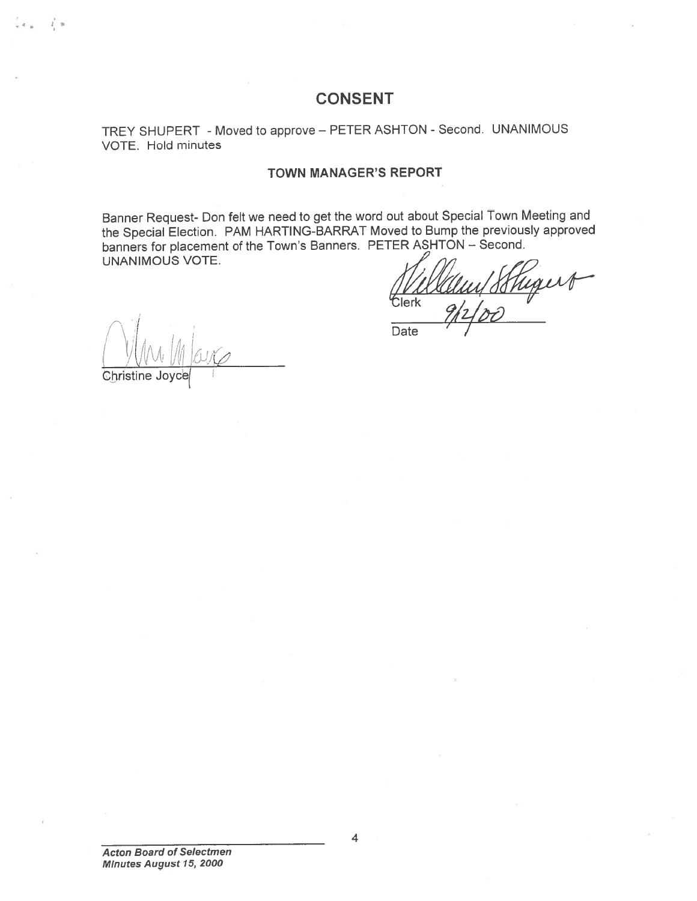## CONSENT

## TREY SHUPERT - Moved to approve — PETER ASHTON -Second. UNANIMOUS VOTE. Hold minutes

### TOWN MANAGER'S REPORT

Banner Request- Don felt we need to ge<sup>t</sup> the word out about Special Town Meeting and the Special Election. PAM HARTING-BARRAT Moved to Bump the previously approve<sup>d</sup> UNANIMOUS VOTE.

banners for placement of the Town's Banners. PETER ASHTON – Second.<br>UNANIMOUS VOTE.<br>Clerk also large the Clerk and the Clerk and the Clerk and the Clerk and the Clerk of the Clerk and the Clerk of the Clerk of the Clerk o Clerk

Date

 $\bigwedge_{\mathcal{M}}$ 

Christine Jo

 $\mathbf{I}$ .  $\mathbf{B}$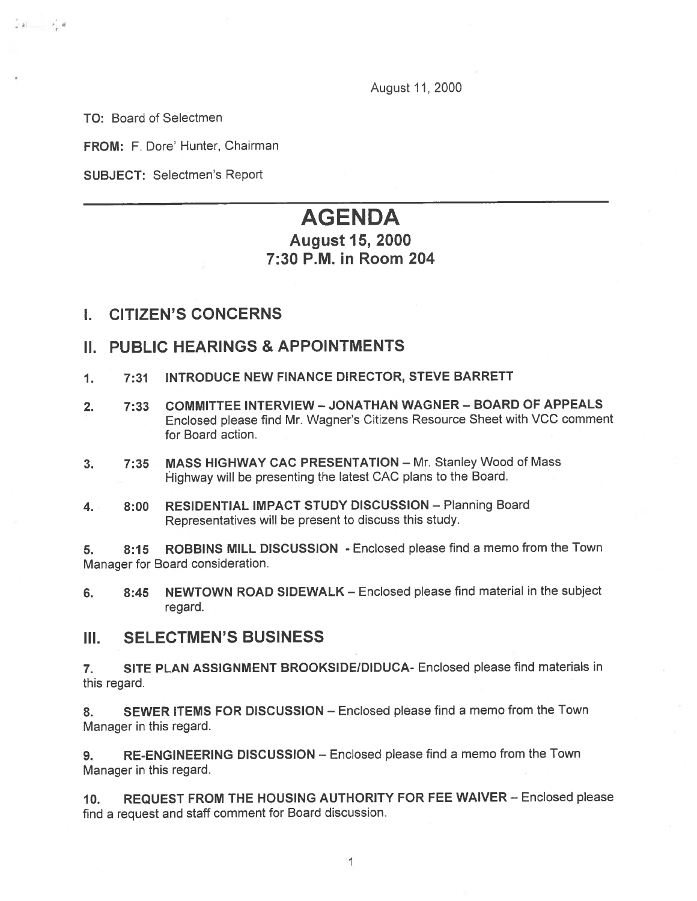August 11,2000

TO: Board of Selectmen

 $28 - 28$ 

FROM: F. Dore' Hunter, Chairman

SUBJECT: Selectmen's Report

# AGENDA

## August 15, 2000 7:30 P.M. in Room 204

## I. CITIZEN'S CONCERNS

## II. PUBLIC HEARINGS & APPOINTMENTS

- 1. 7:31 INTRODUCE NEW FINANCE DIRECTOR, STEVE BARRETT
- 2. 7:33 COMMITTEE INTERVIEW JONATHAN WAGNER BOARD OF APPEALS Enclosed <sup>p</sup>lease find Mr. Wagner's Citizens Resource Sheet with VCC comment for Board action.
- 3. 7:35 MASS HIGHWAY CAC PRESENTATION Mr. Stanley Wood of Mass Highway will be presenting the latest CAC plans to the Board.
- 4. 8:00 RESIDENTIAL IMPACT STUDY DISCUSSION Planning Board Representatives will be presen<sup>t</sup> to discuss this study.

5. 8:15 ROBBINS MILL DISCUSSION - Enclosed please find <sup>a</sup> memo from the Town Manager for Board consideration.

6. 8:45 NEWTOWN ROAD SIDEWALK – Enclosed please find material in the subject regard.

### III. SELECTMEN'S BUSINESS

7. SITE PLAN ASSIGNMENT BROOKSIDE/DIDUCA- Enclosed please find materials in this regard.

8. SEWER ITEMS FOR DISCUSSION - Enclosed please find a memo from the Town Manager in this regard.

9. RE-ENGINEERING DISCUSSION — Enclosed please find <sup>a</sup> memo from the Town Manager in this regard.

10. REQUEST FROM THE HOUSING AUTHORITY FOR FEE WAIVER — Enclosed <sup>p</sup>lease find <sup>a</sup> reques<sup>t</sup> and staff comment for Board discussion.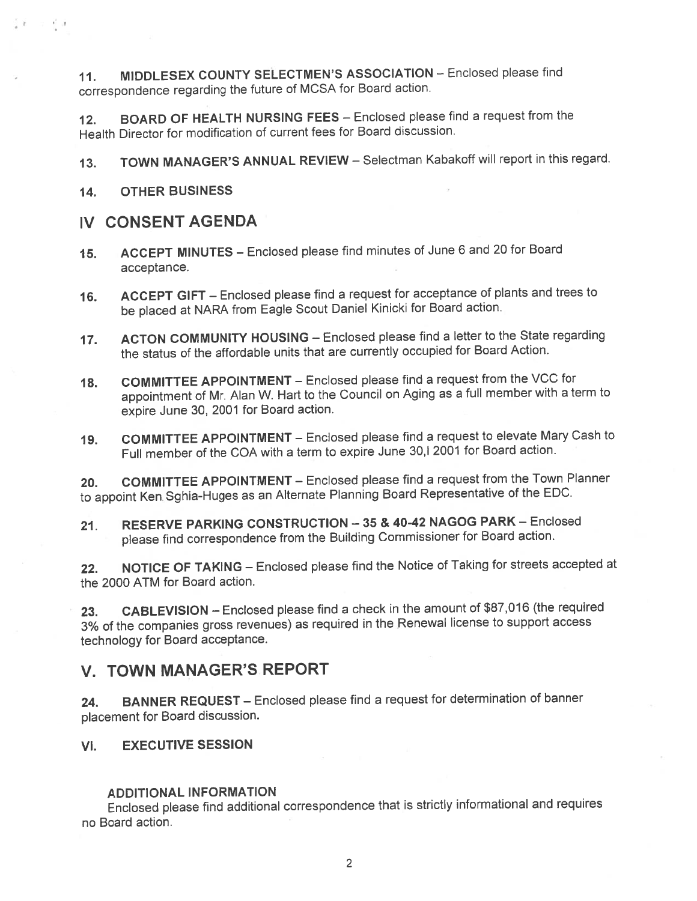11. MIDDLESEX COUNTY SELECTMEN'S ASSOCIATION - Enclosed please find correspondence regarding the future of MCSA for Board action.

12. BOARD OF HEALTH NURSING FEES — Enclosed <sup>p</sup>lease find <sup>a</sup> reques<sup>t</sup> from the Health Director for modification of current fees for Board discussion.

13. TOWN MANAGER'S ANNUAL REVIEW - Selectman Kabakoff will report in this regard.

14. OTHER BUSINESS

 $\frac{1}{4}$  and  $\frac{1}{4}$  and  $\frac{1}{4}$ 

## IV CONSENT AGENDA

- 15. ACCEPT MINUTES Enclosed <sup>p</sup>lease find minutes of June <sup>6</sup> and <sup>20</sup> for Board acceptance.
- 16. ACCEPT GIFT Enclosed <sup>p</sup>lease find <sup>a</sup> reques<sup>t</sup> for acceptance of <sup>p</sup>lants and trees to be <sup>p</sup>laced at NARA from Eagle Scout Daniel Kinicki for Board action.
- 17. ACTON COMMUNITY HOUSING Enclosed <sup>p</sup>lease find <sup>a</sup> letter to the State regarding the status of the affordable units that are currently occupied for Board Action.
- 18. COMMITTEE APPOINTMENT Enclosed please find a request from the VCC for appointment of Mr. Alan W. Hart to the Council on Aging as <sup>a</sup> full member with <sup>a</sup> term to expire June 30, <sup>2001</sup> for Board action.
- 19. COMMITTEE APPOINTMENT Enclosed <sup>p</sup>lease find <sup>a</sup> reques<sup>t</sup> to elevate Mary Cash to Full member of the COA with <sup>a</sup> term to expire June 30,1 <sup>2001</sup> for Board action.

20. COMMITTEE APPOINTMENT — Enclosed <sup>p</sup>lease find <sup>a</sup> reques<sup>t</sup> from the Town Planner to appoint Ken Sghia-Huges as an Alternate Planning Board Representative of the EDC.

21. RESERVE PARKING CONSTRUCTION —35 & 40-42 NAGOG PARK — Enclosed <sup>p</sup>lease find correspondence from the Building Commissioner for Board action.

22. NOTICE OF TAKING — Enclosed <sup>p</sup>lease find the Notice of Taking for streets accepted at the 2000 ATM for Board action.

23. CABLEVISION — Enclosed <sup>p</sup>lease find <sup>a</sup> check in the amount of \$87,016 (the required 3% of the companies gross revenues) as required in the Renewal license to suppor<sup>t</sup> access technology for Board acceptance.

## V. TOWN MANAGER'S REPORT

24. BANNER REQUEST - Enclosed please find a request for determination of banner <sup>p</sup>lacement for Board discussion.

VI. EXECUTIVE SESSION

## ADDITIONAL INFORMATION

Enclosed <sup>p</sup>lease find additional correspondence that is strictly informational and requires no Board action.